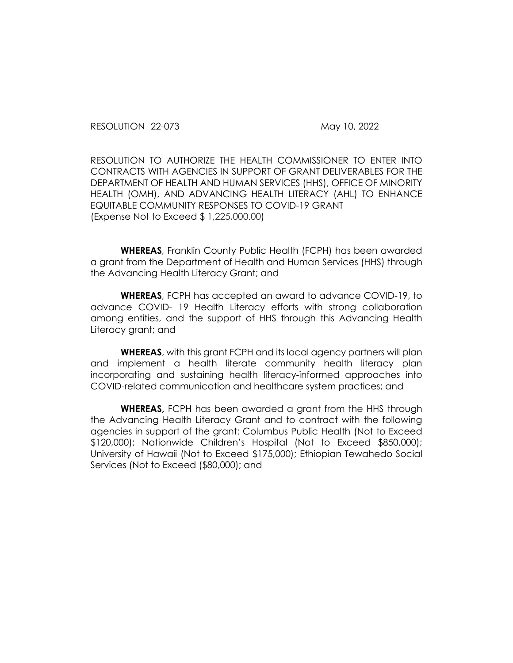RESOLUTION 22-073 May 10, 2022

RESOLUTION TO AUTHORIZE THE HEALTH COMMISSIONER TO ENTER INTO CONTRACTS WITH AGENCIES IN SUPPORT OF GRANT DELIVERABLES FOR THE DEPARTMENT OF HEALTH AND HUMAN SERVICES (HHS), OFFICE OF MINORITY HEALTH (OMH), AND ADVANCING HEALTH LITERACY (AHL) TO ENHANCE EQUITABLE COMMUNITY RESPONSES TO COVID-19 GRANT (Expense Not to Exceed \$ 1,225,000.00)

**WHEREAS**, Franklin County Public Health (FCPH) has been awarded a grant from the Department of Health and Human Services (HHS) through the Advancing Health Literacy Grant; and

**WHEREAS**, FCPH has accepted an award to advance COVID-19, to advance COVID- 19 Health Literacy efforts with strong collaboration among entities, and the support of HHS through this Advancing Health Literacy grant; and

**WHEREAS**, with this grant FCPH and its local agency partners will plan and implement a health literate community health literacy plan incorporating and sustaining health literacy-informed approaches into COVID-related communication and healthcare system practices; and

**WHEREAS,** FCPH has been awarded a grant from the HHS through the Advancing Health Literacy Grant and to contract with the following agencies in support of the grant: Columbus Public Health (Not to Exceed \$120,000); Nationwide Children's Hospital (Not to Exceed \$850,000); University of Hawaii (Not to Exceed \$175,000); Ethiopian Tewahedo Social Services (Not to Exceed (\$80,000); and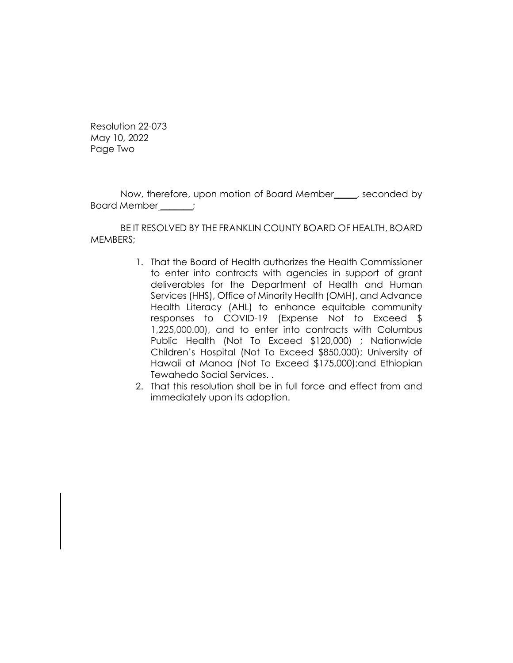Resolution 22-073 May 10, 2022 Page Two

Now, therefore, upon motion of Board Member\_\_\_\_\_, seconded by Board Member \_\_\_\_\_\_\_;

BE IT RESOLVED BY THE FRANKLIN COUNTY BOARD OF HEALTH, BOARD MEMBERS;

- 1. That the Board of Health authorizes the Health Commissioner to enter into contracts with agencies in support of grant deliverables for the Department of Health and Human Services (HHS), Office of Minority Health (OMH), and Advance Health Literacy (AHL) to enhance equitable community responses to COVID-19 (Expense Not to Exceed \$ 1,225,000.00), and to enter into contracts with Columbus Public Health (Not To Exceed \$120,000) ; Nationwide Children's Hospital (Not To Exceed \$850,000); University of Hawaii at Manoa (Not To Exceed \$175,000);and Ethiopian Tewahedo Social Services. .
- 2. That this resolution shall be in full force and effect from and immediately upon its adoption.